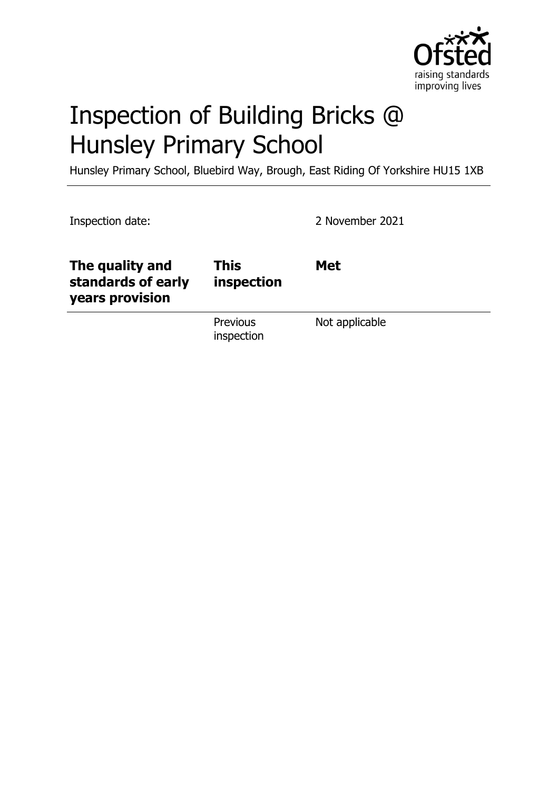

# Inspection of Building Bricks @ Hunsley Primary School

Hunsley Primary School, Bluebird Way, Brough, East Riding Of Yorkshire HU15 1XB

| Inspection date:                                         |                               | 2 November 2021 |
|----------------------------------------------------------|-------------------------------|-----------------|
| The quality and<br>standards of early<br>years provision | <b>This</b><br>inspection     | <b>Met</b>      |
|                                                          | <b>Previous</b><br>inspection | Not applicable  |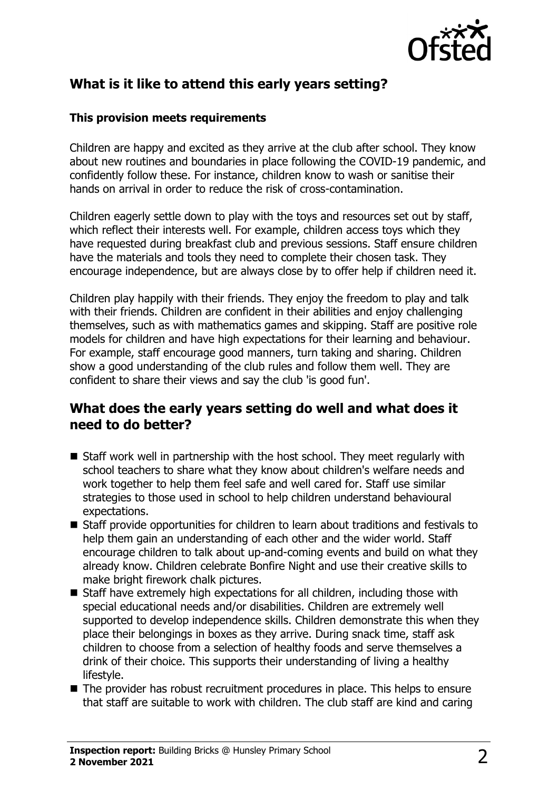

# **What is it like to attend this early years setting?**

#### **This provision meets requirements**

Children are happy and excited as they arrive at the club after school. They know about new routines and boundaries in place following the COVID-19 pandemic, and confidently follow these. For instance, children know to wash or sanitise their hands on arrival in order to reduce the risk of cross-contamination.

Children eagerly settle down to play with the toys and resources set out by staff, which reflect their interests well. For example, children access toys which they have requested during breakfast club and previous sessions. Staff ensure children have the materials and tools they need to complete their chosen task. They encourage independence, but are always close by to offer help if children need it.

Children play happily with their friends. They enjoy the freedom to play and talk with their friends. Children are confident in their abilities and enjoy challenging themselves, such as with mathematics games and skipping. Staff are positive role models for children and have high expectations for their learning and behaviour. For example, staff encourage good manners, turn taking and sharing. Children show a good understanding of the club rules and follow them well. They are confident to share their views and say the club 'is good fun'.

### **What does the early years setting do well and what does it need to do better?**

- $\blacksquare$  Staff work well in partnership with the host school. They meet regularly with school teachers to share what they know about children's welfare needs and work together to help them feel safe and well cared for. Staff use similar strategies to those used in school to help children understand behavioural expectations.
- $\blacksquare$  Staff provide opportunities for children to learn about traditions and festivals to help them gain an understanding of each other and the wider world. Staff encourage children to talk about up-and-coming events and build on what they already know. Children celebrate Bonfire Night and use their creative skills to make bright firework chalk pictures.
- $\blacksquare$  Staff have extremely high expectations for all children, including those with special educational needs and/or disabilities. Children are extremely well supported to develop independence skills. Children demonstrate this when they place their belongings in boxes as they arrive. During snack time, staff ask children to choose from a selection of healthy foods and serve themselves a drink of their choice. This supports their understanding of living a healthy lifestyle.
- $\blacksquare$  The provider has robust recruitment procedures in place. This helps to ensure that staff are suitable to work with children. The club staff are kind and caring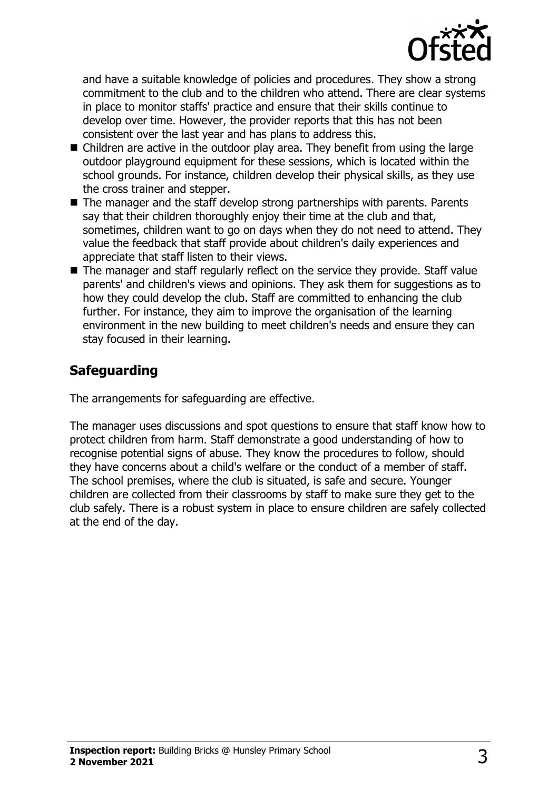

and have a suitable knowledge of policies and procedures. They show a strong commitment to the club and to the children who attend. There are clear systems in place to monitor staffs' practice and ensure that their skills continue to develop over time. However, the provider reports that this has not been consistent over the last year and has plans to address this.

- $\blacksquare$  Children are active in the outdoor play area. They benefit from using the large outdoor playground equipment for these sessions, which is located within the school grounds. For instance, children develop their physical skills, as they use the cross trainer and stepper.
- $\blacksquare$  The manager and the staff develop strong partnerships with parents. Parents say that their children thoroughly enjoy their time at the club and that, sometimes, children want to go on days when they do not need to attend. They value the feedback that staff provide about children's daily experiences and appreciate that staff listen to their views.
- $\blacksquare$  The manager and staff regularly reflect on the service they provide. Staff value parents' and children's views and opinions. They ask them for suggestions as to how they could develop the club. Staff are committed to enhancing the club further. For instance, they aim to improve the organisation of the learning environment in the new building to meet children's needs and ensure they can stay focused in their learning.

## **Safeguarding**

The arrangements for safeguarding are effective.

The manager uses discussions and spot questions to ensure that staff know how to protect children from harm. Staff demonstrate a good understanding of how to recognise potential signs of abuse. They know the procedures to follow, should they have concerns about a child's welfare or the conduct of a member of staff. The school premises, where the club is situated, is safe and secure. Younger children are collected from their classrooms by staff to make sure they get to the club safely. There is a robust system in place to ensure children are safely collected at the end of the day.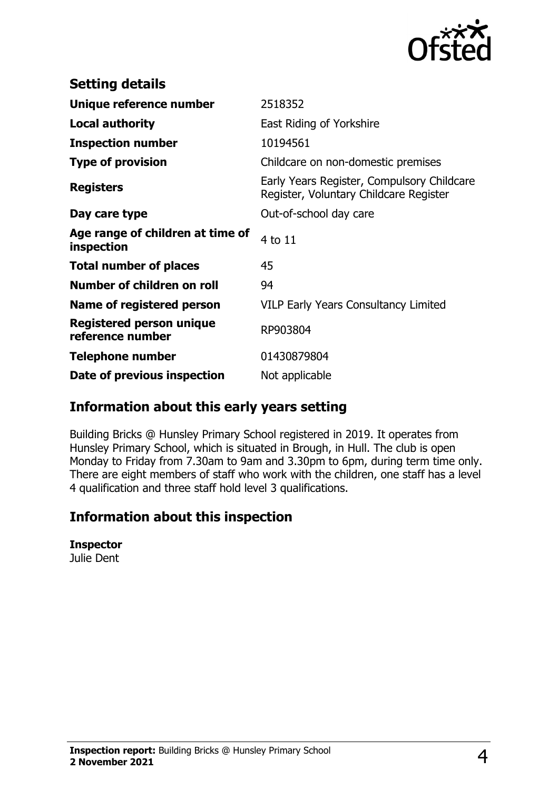

| <b>Setting details</b>                              |                                                                                      |
|-----------------------------------------------------|--------------------------------------------------------------------------------------|
| Unique reference number                             | 2518352                                                                              |
| Local authority                                     | East Riding of Yorkshire                                                             |
| <b>Inspection number</b>                            | 10194561                                                                             |
| <b>Type of provision</b>                            | Childcare on non-domestic premises                                                   |
| <b>Registers</b>                                    | Early Years Register, Compulsory Childcare<br>Register, Voluntary Childcare Register |
| Day care type                                       | Out-of-school day care                                                               |
| Age range of children at time of<br>inspection      | 4 to 11                                                                              |
| <b>Total number of places</b>                       | 45                                                                                   |
| Number of children on roll                          | 94                                                                                   |
| Name of registered person                           | <b>VILP Early Years Consultancy Limited</b>                                          |
| <b>Registered person unique</b><br>reference number | RP903804                                                                             |
| <b>Telephone number</b>                             | 01430879804                                                                          |
| Date of previous inspection                         | Not applicable                                                                       |

## **Information about this early years setting**

Building Bricks @ Hunsley Primary School registered in 2019. It operates from Hunsley Primary School, which is situated in Brough, in Hull. The club is open Monday to Friday from 7.30am to 9am and 3.30pm to 6pm, during term time only. There are eight members of staff who work with the children, one staff has a level 4 qualification and three staff hold level 3 qualifications.

### **Information about this inspection**

**Inspector**

Julie Dent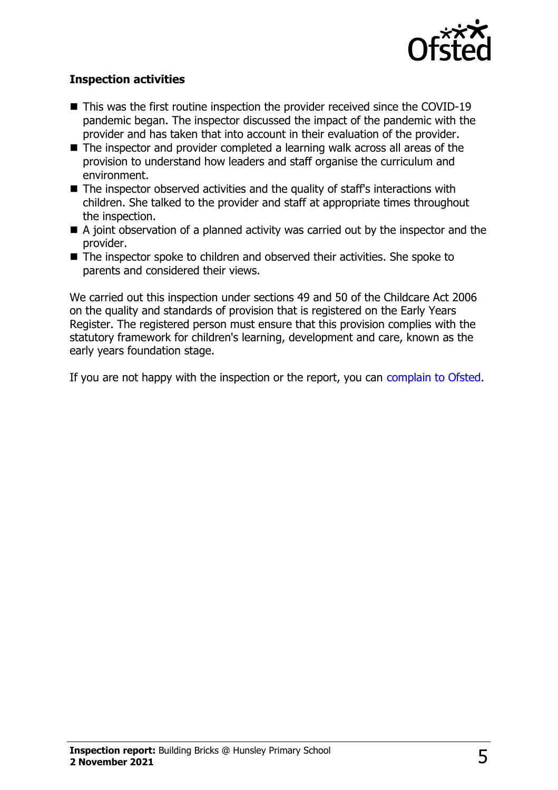

#### **Inspection activities**

- $\blacksquare$  This was the first routine inspection the provider received since the COVID-19 pandemic began. The inspector discussed the impact of the pandemic with the provider and has taken that into account in their evaluation of the provider.
- $\blacksquare$  The inspector and provider completed a learning walk across all areas of the provision to understand how leaders and staff organise the curriculum and environment.
- $\blacksquare$  The inspector observed activities and the quality of staff's interactions with children. She talked to the provider and staff at appropriate times throughout the inspection.
- $\blacksquare$  A joint observation of a planned activity was carried out by the inspector and the provider.
- The inspector spoke to children and observed their activities. She spoke to parents and considered their views.

We carried out this inspection under sections 49 and 50 of the Childcare Act 2006 on the quality and standards of provision that is registered on the Early Years Register. The registered person must ensure that this provision complies with the statutory framework for children's learning, development and care, known as the early years foundation stage.

If you are not happy with the inspection or the report, you can [complain to Ofsted](http://www.gov.uk/complain-ofsted-report).